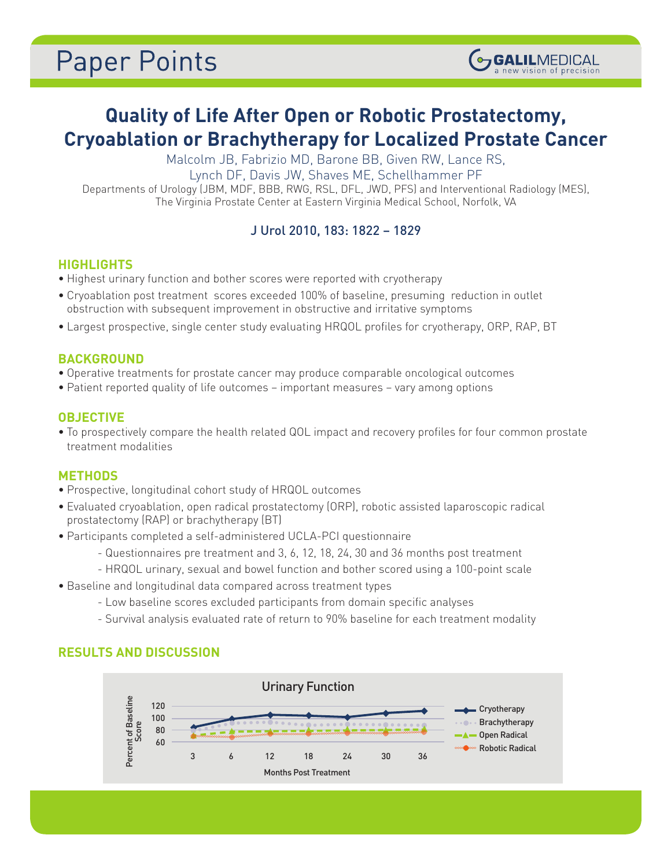# **Paper Points**

## **Quality of Life After Open or Robotic Prostatectomy, Cryoablation or Brachytherapy for Localized Prostate Cancer**

(OGALILMEDICAL

Malcolm JB, Fabrizio MD, Barone BB, Given RW, Lance RS,

Lynch DF, Davis JW, Shaves ME, Schellhammer PF

Departments of Urology (JBM, MDF, BBB, RWG, RSL, DFL, JWD, PFS) and Interventional Radiology (MES), The Virginia Prostate Center at Eastern Virginia Medical School, Norfolk, VA

### J Urol 2010, 183: 1822 – 1829

#### **HIGHLIGHTS**

- Highest urinary function and bother scores were reported with cryotherapy
- Cryoablation post treatment scores exceeded 100% of baseline, presuming reduction in outlet obstruction with subsequent improvement in obstructive and irritative symptoms
- Largest prospective, single center study evaluating HRQOL profiles for cryotherapy, ORP, RAP, BT

#### **BACKGROUND**

- Operative treatments for prostate cancer may produce comparable oncological outcomes
- Patient reported quality of life outcomes important measures vary among options

#### **OBJECTIVE**

• To prospectively compare the health related QOL impact and recovery profiles for four common prostate treatment modalities

#### **METHODS**

- Prospective, longitudinal cohort study of HRQOL outcomes
- Evaluated cryoablation, open radical prostatectomy (ORP), robotic assisted laparoscopic radical prostatectomy (RAP) or brachytherapy (BT)
- Participants completed a self-administered UCLA-PCI questionnaire
	- Questionnaires pre treatment and 3, 6, 12, 18, 24, 30 and 36 months post treatment
	- HRQOL urinary, sexual and bowel function and bother scored using a 100-point scale
- Baseline and longitudinal data compared across treatment types
	- Low baseline scores excluded participants from domain specific analyses
	- Survival analysis evaluated rate of return to 90% baseline for each treatment modality

#### **RESULTS AND DISCUSSION**